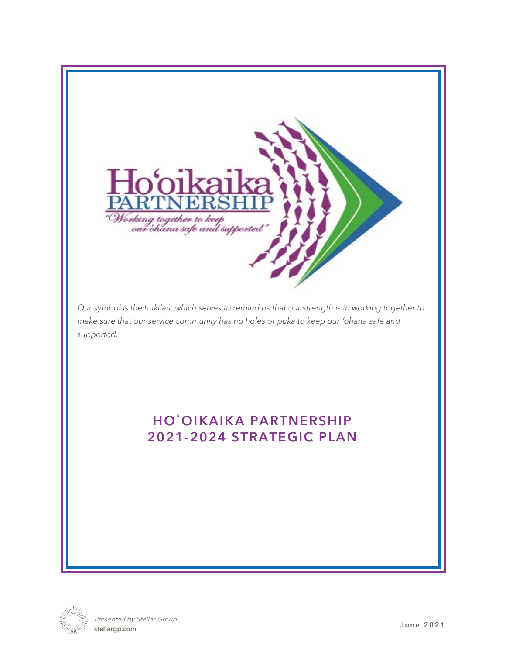

*Our symbol is the hukilau, which serves to remind us that our strength is in working together to make sure that our service community has no holes or puka to keep our 'ohana safe and supported.*

# HOʻOIKAIKA PARTNERSHIP 2021-2024 STRATEGIC PLAN



Presented by Stellar Group stellargp.com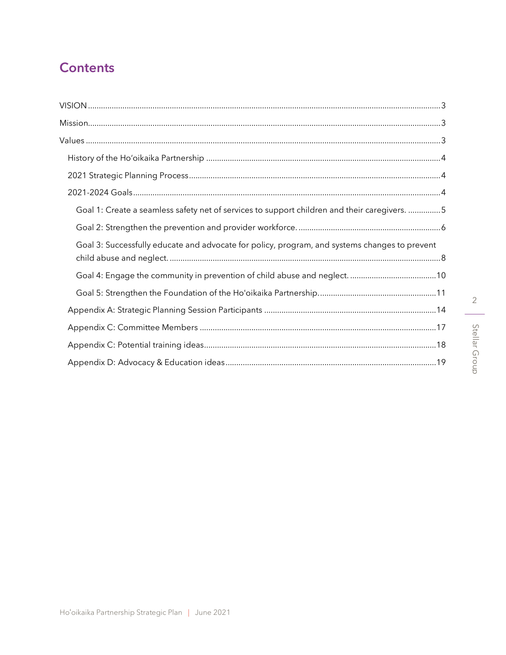# **Contents**

| Goal 1: Create a seamless safety net of services to support children and their caregivers. 5  |
|-----------------------------------------------------------------------------------------------|
|                                                                                               |
| Goal 3: Successfully educate and advocate for policy, program, and systems changes to prevent |
|                                                                                               |
|                                                                                               |
|                                                                                               |
|                                                                                               |
|                                                                                               |
|                                                                                               |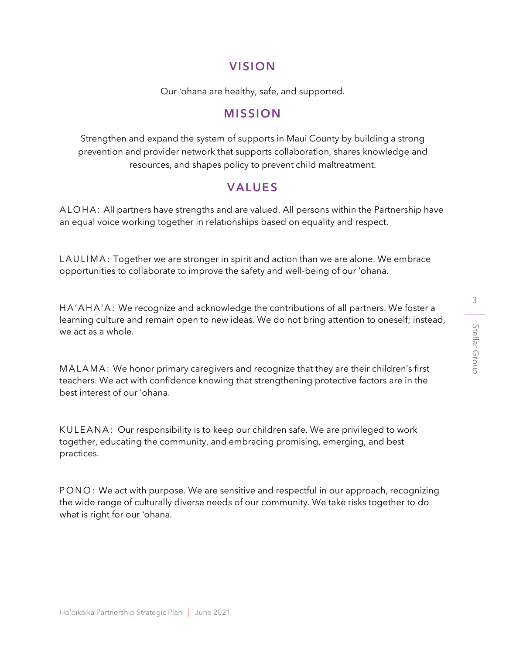# VISION

Our ʻohana are healthy, safe, and supported.

# MISSION

<span id="page-2-1"></span><span id="page-2-0"></span>Strengthen and expand the system of supports in Maui County by building a strong prevention and provider network that supports collaboration, shares knowledge and resources, and shapes policy to prevent child maltreatment.

# VALUES

<span id="page-2-2"></span>ALOHA: All partners have strengths and are valued. All persons within the Partnership have an equal voice working together in relationships based on equality and respect.

LAULIMA: Together we are stronger in spirit and action than we are alone. We embrace opportunities to collaborate to improve the safety and well-being of our ʻohana.

HA'AHA'A: We recognize and acknowledge the contributions of all partners. We foster a learning culture and remain open to new ideas. We do not bring attention to oneself; instead, we act as a whole.

MALAMA: We honor primary caregivers and recognize that they are their children's first teachers. We act with confidence knowing that strengthening protective factors are in the best interest of our ʻohana.

KULEANA: Our responsibility is to keep our children safe. We are privileged to work together, educating the community, and embracing promising, emerging, and best practices.

PONO: We act with purpose. We are sensitive and respectful in our approach, recognizing the wide range of culturally diverse needs of our community. We take risks together to do what is right for our ʻohana.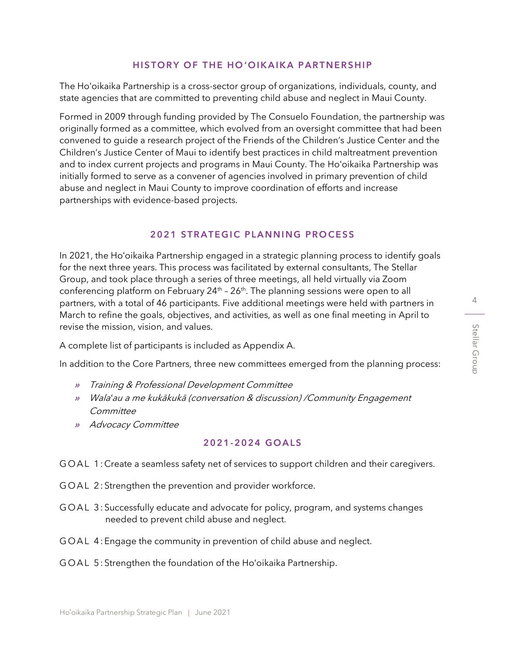#### HISTORY OF THE HO'OIKAIKA PARTNERSHIP

<span id="page-3-0"></span>The Hoʻoikaika Partnership is a cross-sector group of organizations, individuals, county, and state agencies that are committed to preventing child abuse and neglect in Maui County.

Formed in 2009 through funding provided by The Consuelo Foundation, the partnership was originally formed as a committee, which evolved from an oversight committee that had been convened to guide a research project of the Friends of the Children's Justice Center and the Children's Justice Center of Maui to identify best practices in child maltreatment prevention and to index current projects and programs in Maui County. The Hoʻoikaika Partnership was initially formed to serve as a convener of agencies involved in primary prevention of child abuse and neglect in Maui County to improve coordination of efforts and increase partnerships with evidence-based projects.

# 2021 STRATEGIC PLANNING PROCESS

<span id="page-3-1"></span>In 2021, the Hoʻoikaika Partnership engaged in a strategic planning process to identify goals for the next three years. This process was facilitated by external consultants, The Stellar Group, and took place through a series of three meetings, all held virtually via Zoom conferencing platform on February 24<sup>th</sup> - 26<sup>th</sup>. The planning sessions were open to all partners, with a total of 46 participants. Five additional meetings were held with partners in March to refine the goals, objectives, and activities, as well as one final meeting in April to revise the mission, vision, and values.

A complete list of participants is included as Appendix A.

In addition to the Core Partners, three new committees emerged from the planning process:

- » Training & Professional Development Committee
- » Wala*ʻ*au a me kukākukā (conversation & discussion) /Community Engagement **Committee**
- » Advocacy Committee

#### 2021-2024 GOALS

<span id="page-3-2"></span>GOAL 1: Create a seamless safety net of services to support children and their caregivers.

- GOAL 2: Strengthen the prevention and provider workforce.
- GOAL 3: Successfully educate and advocate for policy, program, and systems changes needed to prevent child abuse and neglect.
- GOAL 4: Engage the community in prevention of child abuse and neglect.
- GOAL 5: Strengthen the foundation of the Ho'oikaika Partnership.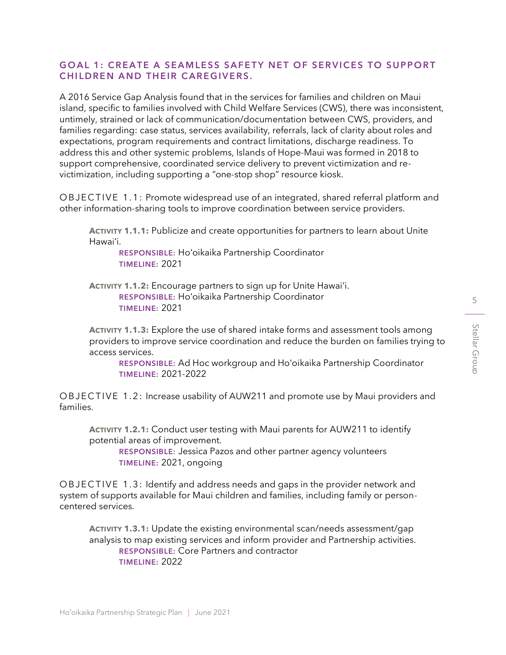### <span id="page-4-0"></span>GOAL 1: CREATE A SEAMLESS SAFETY NET OF SERVICES TO SUPPORT CHILDREN AND THEIR CAREGIVERS.

A 2016 Service Gap Analysis found that in the services for families and children on Maui island, specific to families involved with Child Welfare Services (CWS), there was inconsistent, untimely, strained or lack of communication/documentation between CWS, providers, and families regarding: case status, services availability, referrals, lack of clarity about roles and expectations, program requirements and contract limitations, discharge readiness. To address this and other systemic problems, Islands of Hope-Maui was formed in 2018 to support comprehensive, coordinated service delivery to prevent victimization and revictimization, including supporting a "one-stop shop" resource kiosk.

O B J E C T I V E 1.1: Promote widespread use of an integrated, shared referral platform and other information-sharing tools to improve coordination between service providers.

**ACTIVITY 1.1.1:** Publicize and create opportunities for partners to learn about Unite Hawai'i.

RESPONSIBLE: Hoʻoikaika Partnership Coordinator TIMELINE: 2021

**ACTIVITY 1.1.2:** Encourage partners to sign up for Unite Hawai'i. RESPONSIBLE: Hoʻoikaika Partnership Coordinator TIMELINE: 2021

**ACTIVITY 1.1.3:** Explore the use of shared intake forms and assessment tools among providers to improve service coordination and reduce the burden on families trying to access services.

RESPONSIBLE: Ad Hoc workgroup and Hoʻoikaika Partnership Coordinator TIMELINE: 2021-2022

O B J E C T I V E 1.2: Increase usability of AUW211 and promote use by Maui providers and families.

**ACTIVITY 1.2.1:** Conduct user testing with Maui parents for AUW211 to identify potential areas of improvement.

RESPONSIBLE: Jessica Pazos and other partner agency volunteers TIMELINE: 2021, ongoing

O B J E C T I V E 1.3: I dentify and address needs and gaps in the provider network and system of supports available for Maui children and families, including family or personcentered services.

**ACTIVITY 1.3.1:** Update the existing environmental scan/needs assessment/gap analysis to map existing services and inform provider and Partnership activities. RESPONSIBLE: Core Partners and contractor TIMELINE: 2022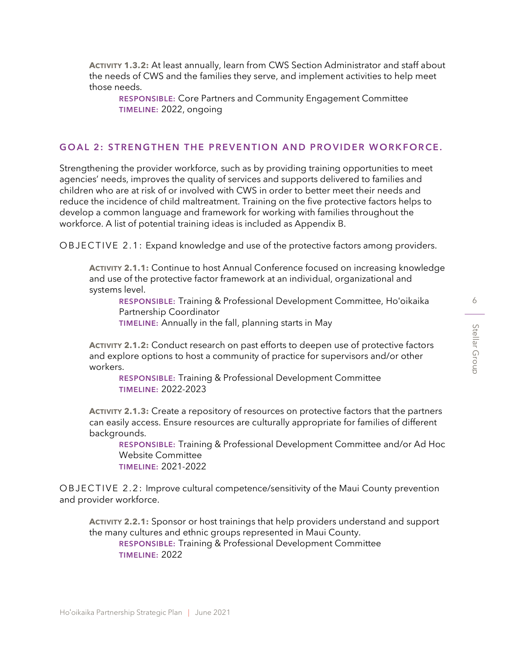**ACTIVITY 1.3.2:** At least annually, learn from CWS Section Administrator and staff about the needs of CWS and the families they serve, and implement activities to help meet those needs.

RESPONSIBLE: Core Partners and Community Engagement Committee TIMELINE: 2022, ongoing

#### <span id="page-5-0"></span>GOAL 2: STRENGTHEN THE PREVENTION AND PROVIDER WORKFORCE.

Strengthening the provider workforce, such as by providing training opportunities to meet agencies' needs, improves the quality of services and supports delivered to families and children who are at risk of or involved with CWS in order to better meet their needs and reduce the incidence of child maltreatment. Training on the five protective factors helps to develop a common language and framework for working with families throughout the workforce. A list of potential training ideas is included as Appendix B.

OBJECTIVE 2.1: Expand knowledge and use of the protective factors among providers.

**ACTIVITY 2.1.1:** Continue to host Annual Conference focused on increasing knowledge and use of the protective factor framework at an individual, organizational and systems level.

RESPONSIBLE: Training & Professional Development Committee, Hoʻoikaika Partnership Coordinator

TIMELINE: Annually in the fall, planning starts in May

**ACTIVITY 2.1.2:** Conduct research on past efforts to deepen use of protective factors and explore options to host a community of practice for supervisors and/or other workers.

RESPONSIBLE: Training & Professional Development Committee TIMELINE: 2022-2023

**ACTIVITY 2.1.3:** Create a repository of resources on protective factors that the partners can easily access. Ensure resources are culturally appropriate for families of different backgrounds.

RESPONSIBLE: Training & Professional Development Committee and/or Ad Hoc Website Committee TIMELINE: 2021-2022

OBJECTIVE 2.2: Improve cultural competence/sensitivity of the Maui County prevention and provider workforce.

**ACTIVITY 2.2.1:** Sponsor or host trainings that help providers understand and support the many cultures and ethnic groups represented in Maui County. RESPONSIBLE: Training & Professional Development Committee TIMELINE: 2022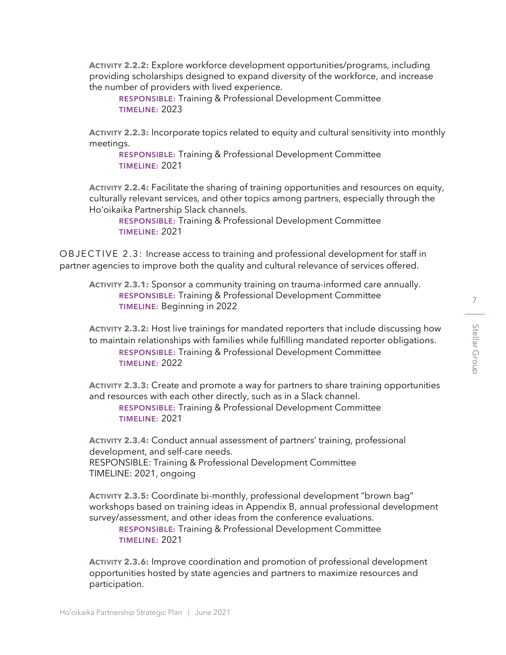**ACTIVITY 2.2.2:** Explore workforce development opportunities/programs, including providing scholarships designed to expand diversity of the workforce, and increase the number of providers with lived experience.

RESPONSIBLE: Training & Professional Development Committee TIMELINE: 2023

**ACTIVITY 2.2.3:** Incorporate topics related to equity and cultural sensitivity into monthly meetings.

RESPONSIBLE: Training & Professional Development Committee TIMELINE: 2021

**ACTIVITY 2.2.4:** Facilitate the sharing of training opportunities and resources on equity, culturally relevant services, and other topics among partners, especially through the Ho'oikaika Partnership Slack channels.

RESPONSIBLE: Training & Professional Development Committee TIMELINE: 2021

O B J E C T I V E 2.3: Increase access to training and professional development for staff in partner agencies to improve both the quality and cultural relevance of services offered.

**ACTIVITY 2.3.1:** Sponsor a community training on trauma-informed care annually. RESPONSIBLE: Training & Professional Development Committee TIMELINE: Beginning in 2022

**ACTIVITY 2.3.2:** Host live trainings for mandated reporters that include discussing how to maintain relationships with families while fulfilling mandated reporter obligations. RESPONSIBLE: Training & Professional Development Committee TIMELINE: 2022

**ACTIVITY 2.3.3:** Create and promote a way for partners to share training opportunities and resources with each other directly, such as in a Slack channel.

RESPONSIBLE: Training & Professional Development Committee TIMELINE: 2021

**ACTIVITY 2.3.4:** Conduct annual assessment of partners' training, professional development, and self-care needs.

RESPONSIBLE: Training & Professional Development Committee TIMELINE: 2021, ongoing

**ACTIVITY 2.3.5:** Coordinate bi-monthly, professional development "brown bag" workshops based on training ideas in Appendix B, annual professional development survey/assessment, and other ideas from the conference evaluations.

RESPONSIBLE: Training & Professional Development Committee TIMELINE: 2021

**ACTIVITY 2.3.6:** Improve coordination and promotion of professional development opportunities hosted by state agencies and partners to maximize resources and participation.

Stellar Group

Stellar Group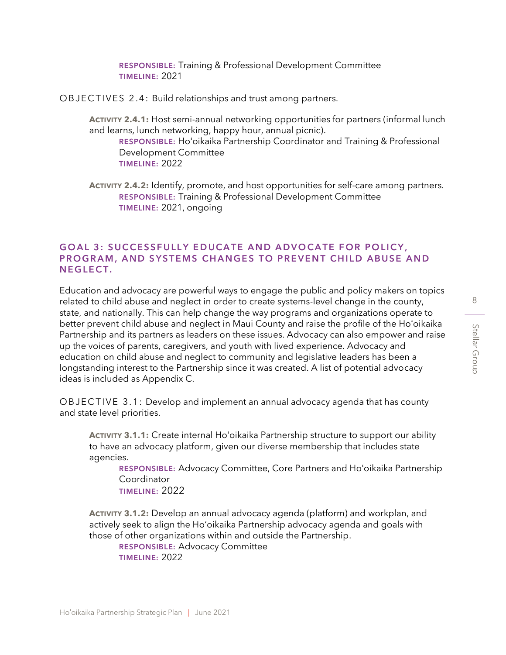RESPONSIBLE: Training & Professional Development Committee TIMELINE: 2021

OBJECTIVES 2.4: Build relationships and trust among partners.

**ACTIVITY 2.4.1:** Host semi-annual networking opportunities for partners (informal lunch and learns, lunch networking, happy hour, annual picnic).

RESPONSIBLE: Hoʻoikaika Partnership Coordinator and Training & Professional Development Committee TIMELINE: 2022

**ACTIVITY 2.4.2:** Identify, promote, and host opportunities for self-care among partners. RESPONSIBLE: Training & Professional Development Committee TIMELINE: 2021, ongoing

### <span id="page-7-0"></span>GOAL 3: SUCCESSFULLY EDUCATE AND ADVOCATE FOR POLICY, PROGRAM, AND SYSTEMS CHANGES TO PREVENT CHILD ABUSE AND NEGLECT.

Education and advocacy are powerful ways to engage the public and policy makers on topics related to child abuse and neglect in order to create systems-level change in the county, state, and nationally. This can help change the way programs and organizations operate to better prevent child abuse and neglect in Maui County and raise the profile of the Hoʻoikaika Partnership and its partners as leaders on these issues. Advocacy can also empower and raise up the voices of parents, caregivers, and youth with lived experience. Advocacy and education on child abuse and neglect to community and legislative leaders has been a longstanding interest to the Partnership since it was created. A list of potential advocacy ideas is included as Appendix C.

O B J E C T I V E 3.1: Develop and implement an annual advocacy agenda that has county and state level priorities.

**ACTIVITY 3.1.1:** Create internal Hoʻoikaika Partnership structure to support our ability to have an advocacy platform, given our diverse membership that includes state agencies.

RESPONSIBLE: Advocacy Committee, Core Partners and Hoʻoikaika Partnership Coordinator TIMELINE: 2022

**ACTIVITY 3.1.2:** Develop an annual advocacy agenda (platform) and workplan, and actively seek to align the Ho'oikaika Partnership advocacy agenda and goals with those of other organizations within and outside the Partnership.

RESPONSIBLE: Advocacy Committee TIMELINE: 2022

Stellar Group

Stellar Group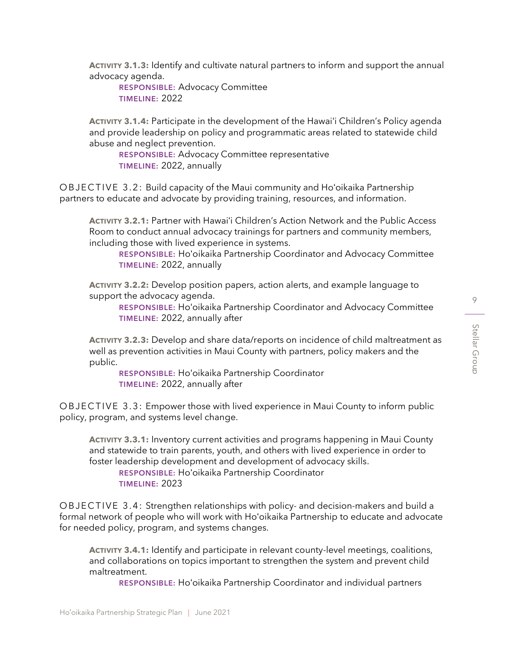**ACTIVITY 3.1.3:** Identify and cultivate natural partners to inform and support the annual advocacy agenda.

RESPONSIBLE: Advocacy Committee TIMELINE: 2022

**ACTIVITY 3.1.4:** Participate in the development of the Hawai'i Children's Policy agenda and provide leadership on policy and programmatic areas related to statewide child abuse and neglect prevention.

RESPONSIBLE: Advocacy Committee representative TIMELINE: 2022, annually

O B J E C T I V E 3.2: Build capacity of the Maui community and Ho'oikaika Partnership partners to educate and advocate by providing training, resources, and information.

**ACTIVITY 3.2.1:** Partner with Hawai'i Children's Action Network and the Public Access Room to conduct annual advocacy trainings for partners and community members, including those with lived experience in systems.

RESPONSIBLE: Hoʻoikaika Partnership Coordinator and Advocacy Committee TIMELINE: 2022, annually

**ACTIVITY 3.2.2:** Develop position papers, action alerts, and example language to support the advocacy agenda.

RESPONSIBLE: Hoʻoikaika Partnership Coordinator and Advocacy Committee TIMELINE: 2022, annually after

**ACTIVITY 3.2.3:** Develop and share data/reports on incidence of child maltreatment as well as prevention activities in Maui County with partners, policy makers and the public.

RESPONSIBLE: Hoʻoikaika Partnership Coordinator TIMELINE: 2022, annually after

O B J E C T I V E 3.3: Empower those with lived experience in Maui County to inform public policy, program, and systems level change.

**ACTIVITY 3.3.1:** Inventory current activities and programs happening in Maui County and statewide to train parents, youth, and others with lived experience in order to foster leadership development and development of advocacy skills. RESPONSIBLE: Hoʻoikaika Partnership Coordinator TIMELINE: 2023

O B J E C T I V E 3.4: Strengthen relationships with policy- and decision-makers and build a formal network of people who will work with Hoʻoikaika Partnership to educate and advocate for needed policy, program, and systems changes.

**ACTIVITY 3.4.1:** Identify and participate in relevant county-level meetings, coalitions, and collaborations on topics important to strengthen the system and prevent child maltreatment.

RESPONSIBLE: Hoʻoikaika Partnership Coordinator and individual partners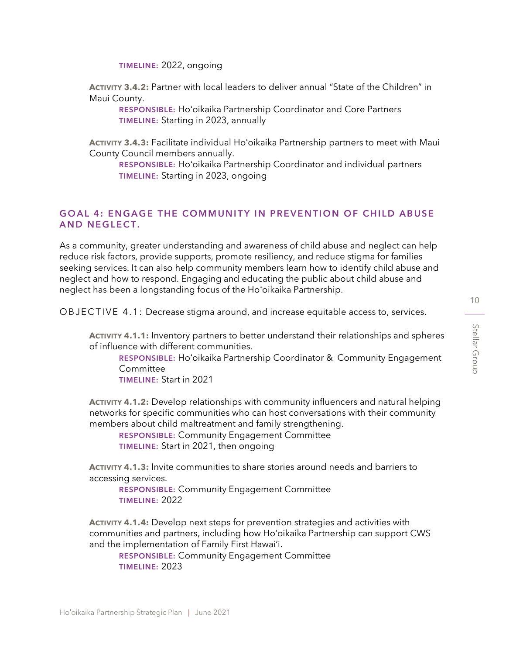TIMELINE: 2022, ongoing

**ACTIVITY 3.4.2:** Partner with local leaders to deliver annual "State of the Children" in Maui County.

RESPONSIBLE: Hoʻoikaika Partnership Coordinator and Core Partners TIMELINE: Starting in 2023, annually

**ACTIVITY 3.4.3:** Facilitate individual Hoʻoikaika Partnership partners to meet with Maui County Council members annually.

RESPONSIBLE: Hoʻoikaika Partnership Coordinator and individual partners TIMELINE: Starting in 2023, ongoing

#### <span id="page-9-0"></span>GOAL 4: ENGAGE THE COMMUNITY IN PREVENTION OF CHILD ABUSE AND NEGLECT.

As a community, greater understanding and awareness of child abuse and neglect can help reduce risk factors, provide supports, promote resiliency, and reduce stigma for families seeking services. It can also help community members learn how to identify child abuse and neglect and how to respond. Engaging and educating the public about child abuse and neglect has been a longstanding focus of the Ho'oikaika Partnership.

O B J E C T I V E 4.1: Decrease stigma around, and increase equitable access to, services.

**ACTIVITY 4.1.1:** Inventory partners to better understand their relationships and spheres of influence with different communities.

RESPONSIBLE: Hoʻoikaika Partnership Coordinator & Community Engagement Committee

TIMELINE: Start in 2021

**ACTIVITY 4.1.2:** Develop relationships with community influencers and natural helping networks for specific communities who can host conversations with their community members about child maltreatment and family strengthening.

RESPONSIBLE: Community Engagement Committee TIMELINE: Start in 2021, then ongoing

**ACTIVITY 4.1.3:** Invite communities to share stories around needs and barriers to accessing services.

RESPONSIBLE: Community Engagement Committee TIMELINE: 2022

**ACTIVITY 4.1.4:** Develop next steps for prevention strategies and activities with communities and partners, including how Ho'oikaika Partnership can support CWS and the implementation of Family First Hawai'i.

RESPONSIBLE: Community Engagement Committee TIMELINE: 2023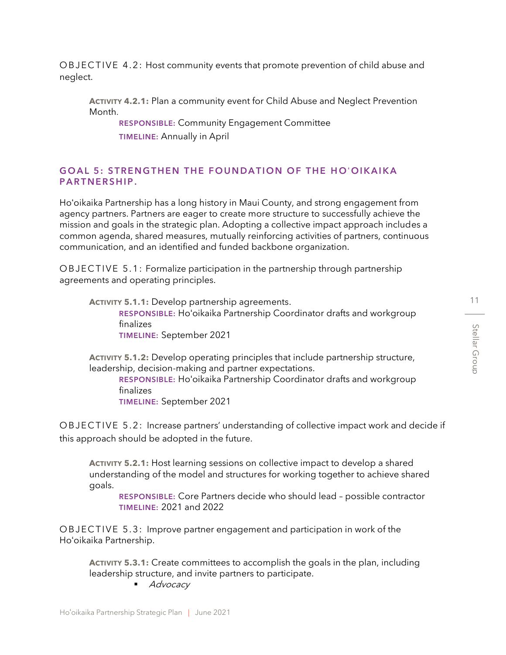O BJ E C T I V E 4.2: Host community events that promote prevention of child abuse and neglect.

**ACTIVITY 4.2.1:** Plan a community event for Child Abuse and Neglect Prevention Month.

RESPONSIBLE: Community Engagement Committee TIMELINE: Annually in April

# <span id="page-10-0"></span>GOAL 5: STRENGTHEN THE FOUNDATION OF THE HO'OIKAIKA PARTNERSHIP.

Ho'oikaika Partnership has a long history in Maui County, and strong engagement from agency partners. Partners are eager to create more structure to successfully achieve the mission and goals in the strategic plan. Adopting a collective impact approach includes a common agenda, shared measures, mutually reinforcing activities of partners, continuous communication, and an identified and funded backbone organization.

OBJECTIVE 5.1: Formalize participation in the partnership through partnership agreements and operating principles.

**ACTIVITY 5.1.1:** Develop partnership agreements. RESPONSIBLE: Hoʻoikaika Partnership Coordinator drafts and workgroup finalizes TIMELINE: September 2021

**ACTIVITY 5.1.2:** Develop operating principles that include partnership structure, leadership, decision-making and partner expectations.

RESPONSIBLE: Hoʻoikaika Partnership Coordinator drafts and workgroup finalizes

TIMELINE: September 2021

O B J E C T I V E 5.2: Increase partners' understanding of collective impact work and decide if this approach should be adopted in the future.

**ACTIVITY 5.2.1:** Host learning sessions on collective impact to develop a shared understanding of the model and structures for working together to achieve shared goals.

RESPONSIBLE: Core Partners decide who should lead – possible contractor TIMELINE: 2021 and 2022

OBJECTIVE 5.3: Improve partner engagement and participation in work of the Hoʻoikaika Partnership.

**ACTIVITY 5.3.1:** Create committees to accomplish the goals in the plan, including leadership structure, and invite partners to participate.

■ Advocacy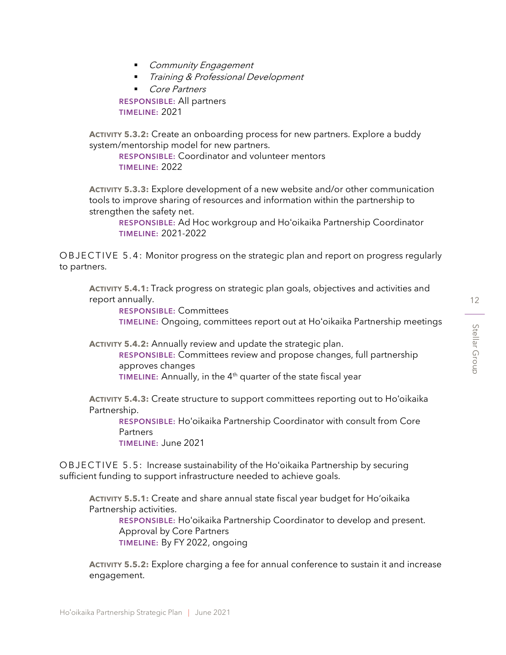- Community Engagement
- Training & Professional Development
- Core Partners

RESPONSIBLE: All partners TIMELINE: 2021

**ACTIVITY 5.3.2:** Create an onboarding process for new partners. Explore a buddy system/mentorship model for new partners.

RESPONSIBLE: Coordinator and volunteer mentors TIMELINE: 2022

**ACTIVITY 5.3.3:** Explore development of a new website and/or other communication tools to improve sharing of resources and information within the partnership to strengthen the safety net.

RESPONSIBLE: Ad Hoc workgroup and Hoʻoikaika Partnership Coordinator TIMELINE: 2021-2022

OBJECTIVE 5.4: Monitor progress on the strategic plan and report on progress regularly to partners.

**ACTIVITY 5.4.1:** Track progress on strategic plan goals, objectives and activities and report annually.

RESPONSIBLE: Committees TIMELINE: Ongoing, committees report out at Hoʻoikaika Partnership meetings

**ACTIVITY 5.4.2:** Annually review and update the strategic plan.

RESPONSIBLE: Committees review and propose changes, full partnership approves changes

TIMELINE: Annually, in the  $4<sup>th</sup>$  quarter of the state fiscal year

**ACTIVITY 5.4.3:** Create structure to support committees reporting out to Hoʻoikaika Partnership.

RESPONSIBLE: Hoʻoikaika Partnership Coordinator with consult from Core **Partners** 

TIMELINE: June 2021

O B J E C T I V E 5.5: Increase sustainability of the Ho'oikaika Partnership by securing sufficient funding to support infrastructure needed to achieve goals.

**ACTIVITY 5.5.1:** Create and share annual state fiscal year budget for Ho'oikaika Partnership activities.

RESPONSIBLE: Hoʻoikaika Partnership Coordinator to develop and present. Approval by Core Partners TIMELINE: By FY 2022, ongoing

**ACTIVITY 5.5.2:** Explore charging a fee for annual conference to sustain it and increase engagement.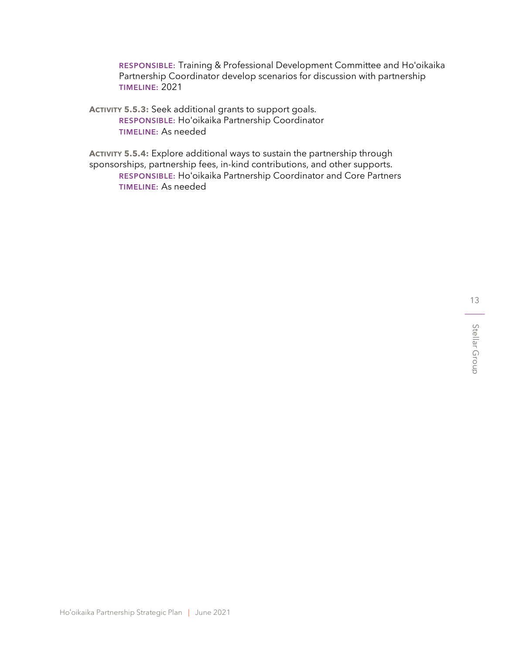RESPONSIBLE: Training & Professional Development Committee and Hoʻoikaika Partnership Coordinator develop scenarios for discussion with partnership TIMELINE: 2021

**ACTIVITY 5.5.3:** Seek additional grants to support goals. RESPONSIBLE: Hoʻoikaika Partnership Coordinator TIMELINE: As needed

**ACTIVITY 5.5.4:** Explore additional ways to sustain the partnership through sponsorships, partnership fees, in-kind contributions, and other supports. RESPONSIBLE: Hoʻoikaika Partnership Coordinator and Core Partners TIMELINE: As needed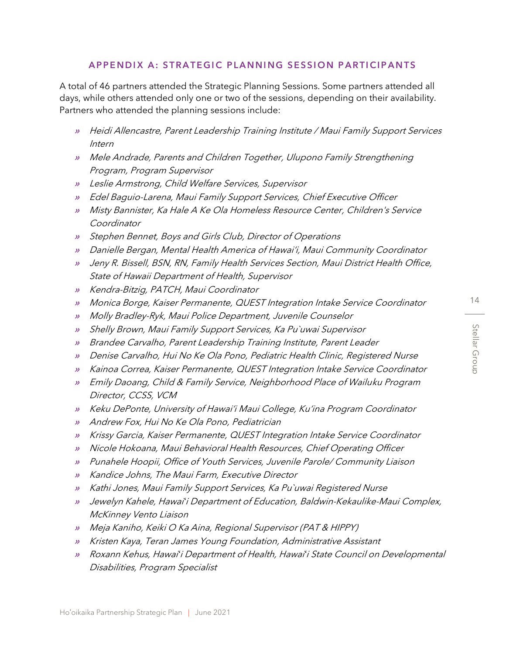### APPENDIX A: STRATEGIC PLANNING SESSION PARTICIPANTS

<span id="page-13-0"></span>A total of 46 partners attended the Strategic Planning Sessions. Some partners attended all days, while others attended only one or two of the sessions, depending on their availability. Partners who attended the planning sessions include:

- » Heidi Allencastre, Parent Leadership Training Institute / Maui Family Support Services Intern
- » Mele Andrade, Parents and Children Together, Ulupono Family Strengthening Program, Program Supervisor
- » Leslie Armstrong, Child Welfare Services, Supervisor
- » Edel Baguio-Larena, Maui Family Support Services, Chief Executive Officer
- » Misty Bannister, Ka Hale A Ke Ola Homeless Resource Center, Children's Service Coordinator
- » Stephen Bennet, Boys and Girls Club, Director of Operations
- » Danielle Bergan, Mental Health America of Hawai'i, Maui Community Coordinator
- » Jeny R. Bissell, BSN, RN, Family Health Services Section, Maui District Health Office, State of Hawaii Department of Health, Supervisor
- » Kendra-Bitzig, PATCH, Maui Coordinator
- »Monica Borge, Kaiser Permanente, QUEST Integration Intake Service Coordinator
- » Molly Bradley-Ryk, Maui Police Department, Juvenile Counselor
- » Shelly Brown, Maui Family Support Services, Ka Pu`uwai Supervisor
- » Brandee Carvalho, Parent Leadership Training Institute, Parent Leader
- » Denise Carvalho, Hui No Ke Ola Pono, Pediatric Health Clinic, Registered Nurse
- » Kainoa Correa, Kaiser Permanente, QUEST Integration Intake Service Coordinator
- » Emily Daoang, Child & Family Service, Neighborhood Place of Wailuku Program Director, CCSS, VCM
- » Keku DePonte, University of Hawai'i Maui College, Ku'ina Program Coordinator
- » Andrew Fox, Hui No Ke Ola Pono, Pediatrician
- » Krissy Garcia, Kaiser Permanente, QUEST Integration Intake Service Coordinator
- » Nicole Hokoana, Maui Behavioral Health Resources, Chief Operating Officer
- » Punahele Hoopii, Office of Youth Services, Juvenile Parole/ Community Liaison
- » Kandice Johns, The Maui Farm, Executive Director
- » Kathi Jones, Maui Family Support Services, Ka Pu`uwai Registered Nurse
- » Jewelyn Kahele, Hawai*'*i Department of Education, Baldwin-Kekaulike-Maui Complex, McKinney Vento Liaison
- » Meja Kaniho, Keiki O Ka Aina, Regional Supervisor (PAT & HIPPY)
- » Kristen Kaya, Teran James Young Foundation, Administrative Assistant
- » Roxann Kehus, Hawai*'*i Department of Health, Hawai*'*i State Council on Developmental Disabilities, Program Specialist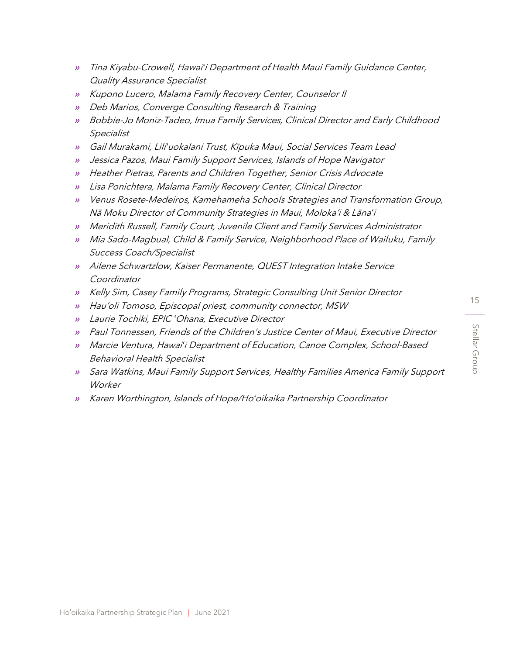- » Tina Kiyabu-Crowell, Hawai*'*i Department of Health Maui Family Guidance Center, Quality Assurance Specialist
- » Kupono Lucero, Malama Family Recovery Center, Counselor II
- » Deb Marios, Converge Consulting Research & Training
- » Bobbie-Jo Moniz-Tadeo, Imua Family Services, Clinical Director and Early Childhood Specialist
- » Gail Murakami, Lili*'*uokalani Trust, Kīpuka Maui, Social Services Team Lead
- » Jessica Pazos, Maui Family Support Services, Islands of Hope Navigator
- » Heather Pietras, Parents and Children Together, Senior Crisis Advocate
- » Lisa Ponichtera, Malama Family Recovery Center, Clinical Director
- » Venus Rosete-Medeiros, Kamehameha Schools Strategies and Transformation Group, Nā Moku Director of Community Strategies in Maui, Moloka'i & Lāna*'*<sup>i</sup>
- » Meridith Russell, Family Court, Juvenile Client and Family Services Administrator
- » Mia Sado-Magbual, Child & Family Service, Neighborhood Place of Wailuku, Family Success Coach/Specialist
- » Ailene Schwartzlow, Kaiser Permanente, QUEST Integration Intake Service Coordinator
- » Kelly Sim, Casey Family Programs, Strategic Consulting Unit Senior Director
- » Hau'oli Tomoso, Episcopal priest, community connector, MSW
- » Laurie Tochiki, EPIC *ʻ*Ohana, Executive Director
- » Paul Tonnessen, Friends of the Children's Justice Center of Maui, Executive Director
- » Marcie Ventura, Hawai*'*i Department of Education, Canoe Complex, School-Based Behavioral Health Specialist
- » Sara Watkins, Maui Family Support Services, Healthy Families America Family Support **Worker**
- » Karen Worthington, Islands of Hope/Ho*'*oikaika Partnership Coordinator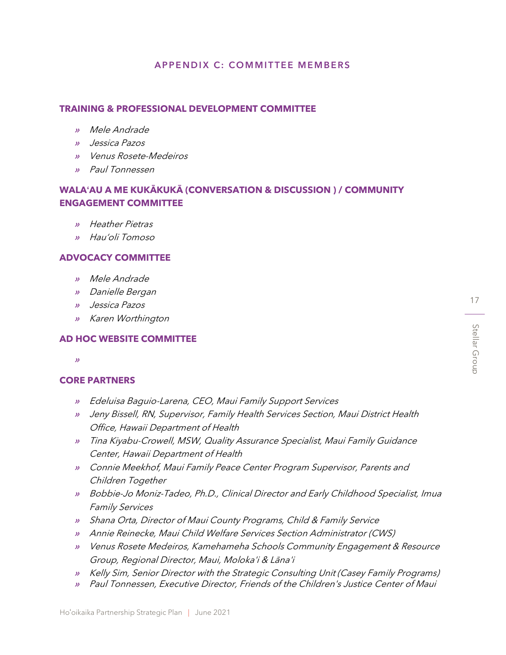#### APPENDIX C: COMMITTEE MEMBERS

#### <span id="page-16-0"></span>**TRAINING & PROFESSIONAL DEVELOPMENT COMMITTEE**

- » Mele Andrade
- » Jessica Pazos
- » Venus Rosete-Medeiros
- » Paul Tonnessen

## **WALA'AU A ME KUKĀKUKĀ (CONVERSATION & DISCUSSION ) / COMMUNITY ENGAGEMENT COMMITTEE**

- » Heather Pietras
- » Hau'oli Tomoso

#### **ADVOCACY COMMITTEE**

- » Mele Andrade
- » Danielle Bergan
- » Jessica Pazos
- » Karen Worthington

#### **AD HOC WEBSITE COMMITTEE**

»

#### **CORE PARTNERS**

- » Edeluisa Baguio-Larena, CEO, Maui Family Support Services
- » Jeny Bissell, RN, Supervisor, Family Health Services Section, Maui District Health Office, Hawaii Department of Health
- » Tina Kiyabu-Crowell, MSW, Quality Assurance Specialist, Maui Family Guidance Center, Hawaii Department of Health
- » Connie Meekhof, Maui Family Peace Center Program Supervisor, Parents and Children Together
- » Bobbie-Jo Moniz-Tadeo, Ph.D., Clinical Director and Early Childhood Specialist, Imua Family Services
- » Shana Orta, Director of Maui County Programs, Child & Family Service
- » Annie Reinecke, Maui Child Welfare Services Section Administrator (CWS)
- » Venus Rosete Medeiros, Kamehameha Schools Community Engagement & Resource Group, Regional Director, Maui, Moloka'i & Lāna'i
- » Kelly Sim, Senior Director with the Strategic Consulting Unit (Casey Family Programs)
- » Paul Tonnessen, Executive Director, Friends of the Children's Justice Center of Maui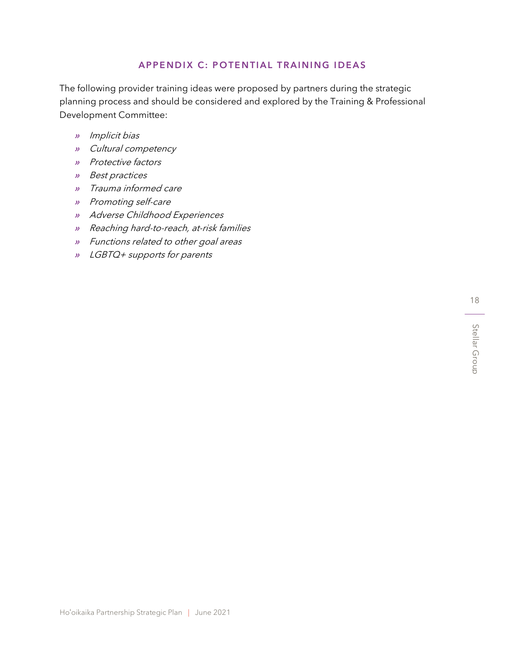# A P P E N D I X C: POTENTIAL TRAINING IDEAS

<span id="page-17-0"></span>The following provider training ideas were proposed by partners during the strategic planning process and should be considered and explored by the Training & Professional Development Committee:

- » Implicit bias
- » Cultural competency
- » Protective factors
- » Best practices
- » Trauma informed care
- » Promoting self-care
- » Adverse Childhood Experiences
- » Reaching hard-to-reach, at-risk families
- » Functions related to other goal areas
- » LGBTQ+ supports for parents